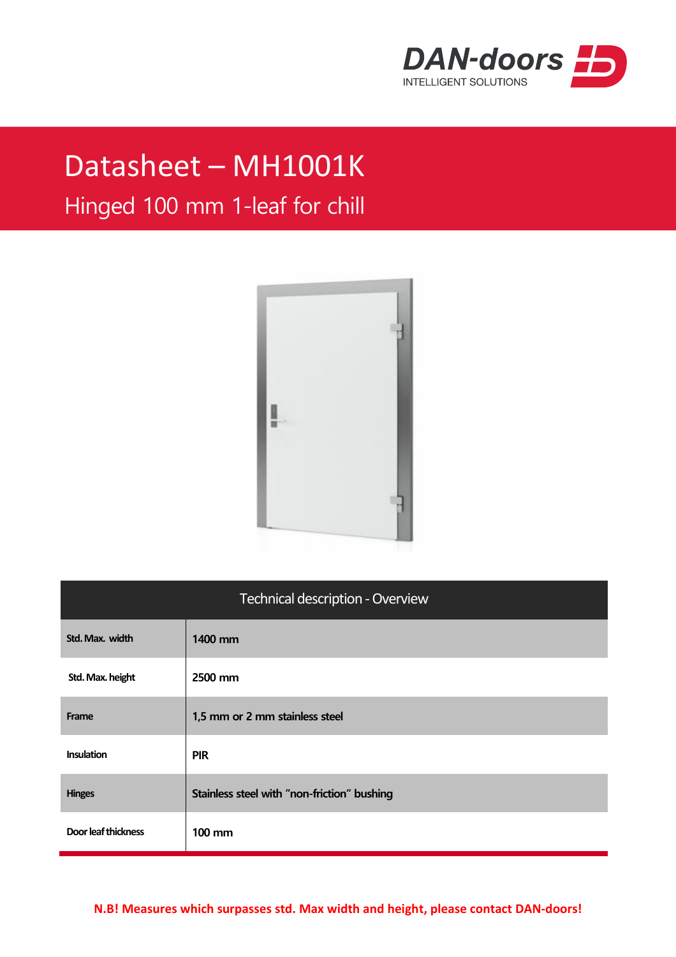

## Datasheet – MH1001K

## Hinged 100 mm 1-leaf for chill



| <b>Technical description - Overview</b> |                                             |  |
|-----------------------------------------|---------------------------------------------|--|
| Std. Max. width                         | 1400 mm                                     |  |
| Std. Max. height                        | 2500 mm                                     |  |
| Frame                                   | 1,5 mm or 2 mm stainless steel              |  |
| <b>Insulation</b>                       | <b>PIR</b>                                  |  |
| <b>Hinges</b>                           | Stainless steel with "non-friction" bushing |  |
| Door leaf thickness                     | <b>100 mm</b>                               |  |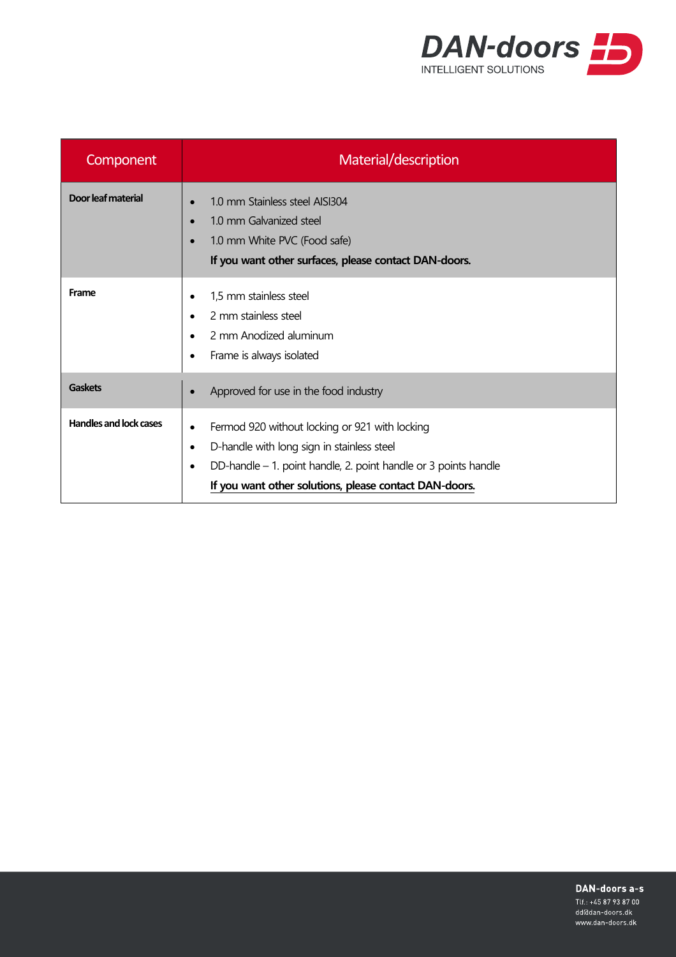

| Component                     | Material/description                                                                                                                                                                                                                                             |
|-------------------------------|------------------------------------------------------------------------------------------------------------------------------------------------------------------------------------------------------------------------------------------------------------------|
| Door leaf material            | 1.0 mm Stainless steel AISI304<br>$\bullet$<br>1.0 mm Galvanized steel<br>$\bullet$<br>1.0 mm White PVC (Food safe)<br>$\bullet$<br>If you want other surfaces, please contact DAN-doors.                                                                        |
| Frame                         | 1,5 mm stainless steel<br>٠<br>2 mm stainless steel<br>$\bullet$<br>2 mm Anodized aluminum<br>$\bullet$<br>Frame is always isolated<br>٠                                                                                                                         |
| <b>Gaskets</b>                | Approved for use in the food industry                                                                                                                                                                                                                            |
| <b>Handles and lock cases</b> | Fermod 920 without locking or 921 with locking<br>$\bullet$<br>D-handle with long sign in stainless steel<br>$\bullet$<br>DD-handle – 1. point handle, 2. point handle or 3 points handle<br>$\bullet$<br>If you want other solutions, please contact DAN-doors. |

DAN-doors a-s

Tlf.: +45 87 93 87 00 dd@dan-doors.dk www.dan-doors.dk